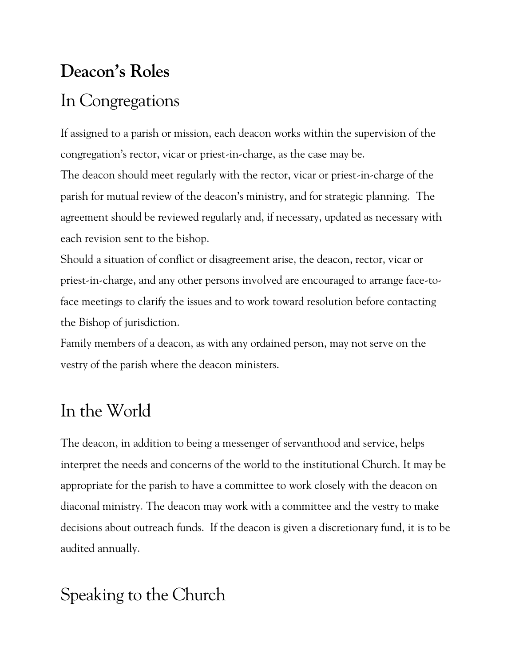## **Deacon's Roles**

## In Congregations

If assigned to a parish or mission, each deacon works within the supervision of the congregation's rector, vicar or priest-in-charge, as the case may be.

The deacon should meet regularly with the rector, vicar or priest-in-charge of the parish for mutual review of the deacon's ministry, and for strategic planning. The agreement should be reviewed regularly and, if necessary, updated as necessary with each revision sent to the bishop.

Should a situation of conflict or disagreement arise, the deacon, rector, vicar or priest-in-charge, and any other persons involved are encouraged to arrange face-toface meetings to clarify the issues and to work toward resolution before contacting the Bishop of jurisdiction.

Family members of a deacon, as with any ordained person, may not serve on the vestry of the parish where the deacon ministers.

## In the World

The deacon, in addition to being a messenger of servanthood and service, helps interpret the needs and concerns of the world to the institutional Church. It may be appropriate for the parish to have a committee to work closely with the deacon on diaconal ministry. The deacon may work with a committee and the vestry to make decisions about outreach funds. If the deacon is given a discretionary fund, it is to be audited annually.

## Speaking to the Church